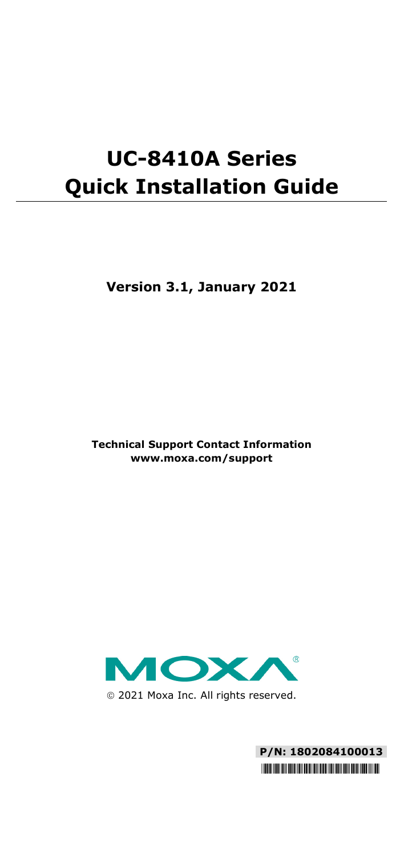# **UC-8410A Series Quick Installation Guide**

**Version 3.1, January 2021**

**Technical Support Contact Information www.moxa.com/support**



2021 Moxa Inc. All rights reserved.

**P/N: 1802084100013** \*1802084100013\*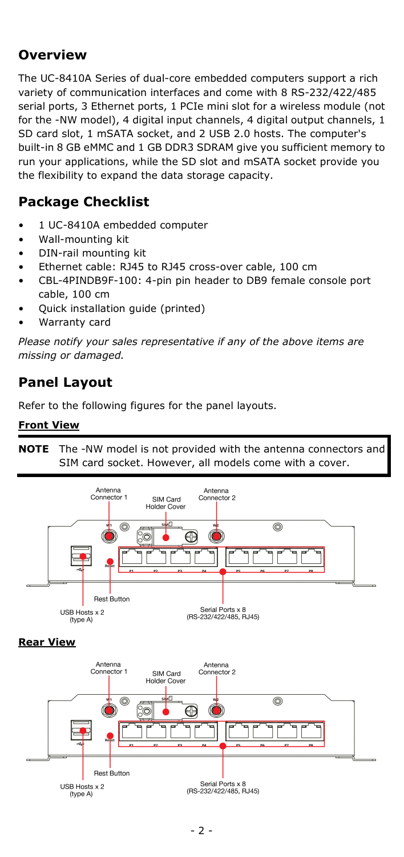# **Overview**

The UC-8410A Series of dual-core embedded computers support a rich variety of communication interfaces and come with 8 RS-232/422/485 serial ports, 3 Ethernet ports, 1 PCIe mini slot for a wireless module (not for the -NW model), 4 digital input channels, 4 digital output channels, 1 SD card slot, 1 mSATA socket, and 2 USB 2.0 hosts. The computer's built-in 8 GB eMMC and 1 GB DDR3 SDRAM give you sufficient memory to run your applications, while the SD slot and mSATA socket provide you the flexibility to expand the data storage capacity.

# **Package Checklist**

- 1 UC-8410A embedded computer
- Wall-mounting kit
- DIN-rail mounting kit
- Ethernet cable: RJ45 to RJ45 cross-over cable, 100 cm
- CBL-4PINDB9F-100: 4-pin pin header to DB9 female console port cable, 100 cm
- Quick installation guide (printed)
- Warranty card

*Please notify your sales representative if any of the above items are missing or damaged.*

# **Panel Layout**

Refer to the following figures for the panel layouts.

#### **Front View**

**NOTE** The -NW model is not provided with the antenna connectors and SIM card socket. However, all models come with a cover.



#### **Rear View**

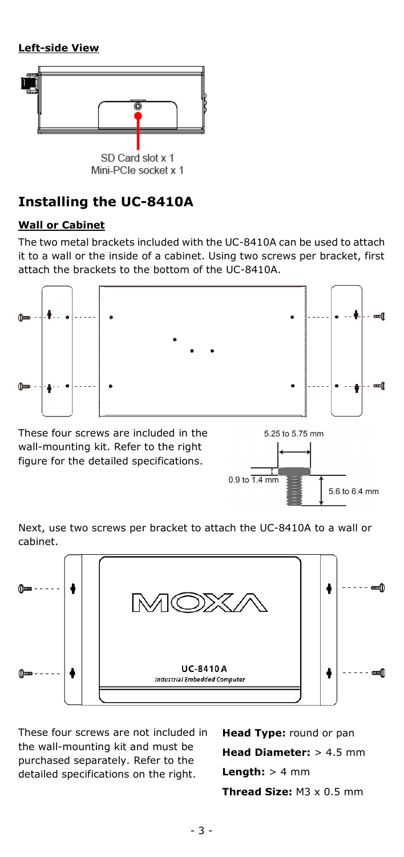#### **Left-side View**



# **Installing the UC-8410A**

#### **Wall or Cabinet**

The two metal brackets included with the UC-8410A can be used to attach it to a wall or the inside of a cabinet. Using two screws per bracket, first attach the brackets to the bottom of the UC-8410A.



These four screws are included in the wall-mounting kit. Refer to the right figure for the detailed specifications.



Next, use two screws per bracket to attach the UC-8410A to a wall or cabinet.



These four screws are not included in the wall-mounting kit and must be purchased separately. Refer to the detailed specifications on the right.

**Head Type:** round or pan **Head Diameter:** > 4.5 mm **Length:** > 4 mm **Thread Size:** M3 x 0.5 mm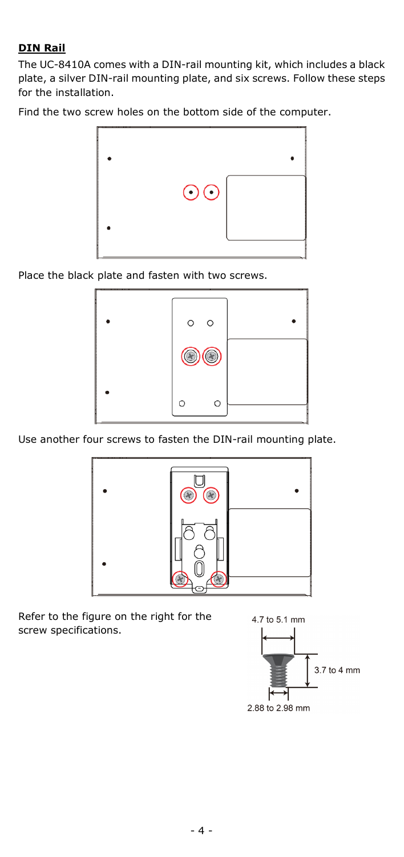#### **DIN Rail**

The UC-8410A comes with a DIN-rail mounting kit, which includes a black plate, a silver DIN-rail mounting plate, and six screws. Follow these steps for the installation.

Find the two screw holes on the bottom side of the computer.



Place the black plate and fasten with two screws.



Use another four screws to fasten the DIN-rail mounting plate.



Refer to the figure on the right for the screw specifications.

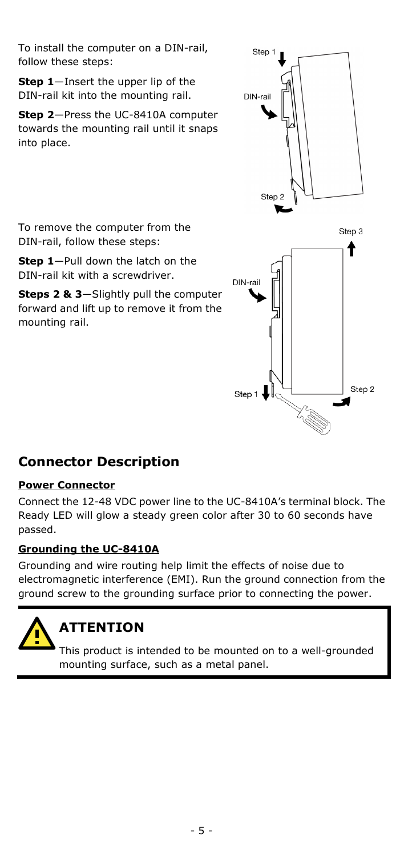To install the computer on a DIN-rail, follow these steps:

**Step 1**—Insert the upper lip of the DIN-rail kit into the mounting rail.

**Step 2**—Press the UC-8410A computer towards the mounting rail until it snaps into place.

DIN-rail Step 2 Step 3 ↑ DIN-rail Sten<sub>2</sub> Step 1  $\downarrow$ 

Step 1

To remove the computer from the DIN-rail, follow these steps:

**Step 1**—Pull down the latch on the DIN-rail kit with a screwdriver.

**Steps 2 & 3**—Slightly pull the computer forward and lift up to remove it from the mounting rail.

# **Connector Description**

### **Power Connector**

Connect the 12-48 VDC power line to the UC-8410A's terminal block. The Ready LED will glow a steady green color after 30 to 60 seconds have passed.

### **Grounding the UC-8410A**

Grounding and wire routing help limit the effects of noise due to electromagnetic interference (EMI). Run the ground connection from the ground screw to the grounding surface prior to connecting the power.

# **ATTENTION**

This product is intended to be mounted on to a well-grounded mounting surface, such as a metal panel.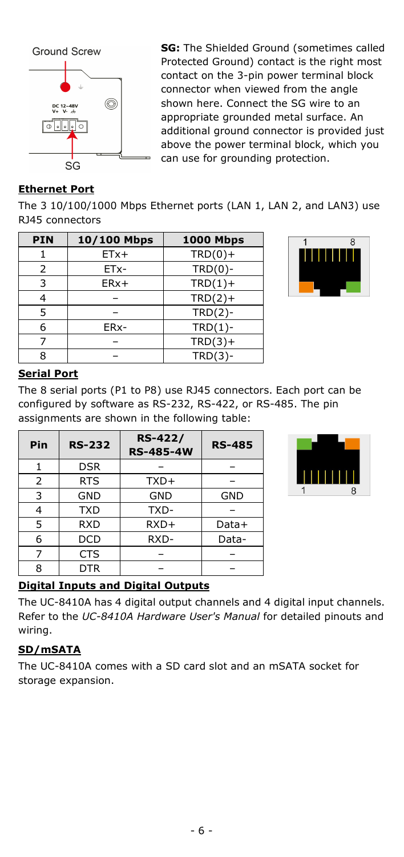

**SG:** The Shielded Ground (sometimes called Protected Ground) contact is the right most contact on the 3-pin power terminal block connector when viewed from the angle shown here. Connect the SG wire to an appropriate grounded metal surface. An additional ground connector is provided just above the power terminal block, which you can use for grounding protection.

#### **Ethernet Port**

The 3 10/100/1000 Mbps Ethernet ports (LAN 1, LAN 2, and LAN3) use RJ45 connectors

| <b>PIN</b> | 10/100 Mbps | <b>1000 Mbps</b> |
|------------|-------------|------------------|
|            | $ETx+$      | $TRD(0) +$       |
| 2          | ETx-        | $TRD(0)$ -       |
| 3          | $ERx+$      | $TRD(1) +$       |
|            |             | $TRD(2) +$       |
| 5          |             | $TRD(2)-$        |
| 6          | ERx-        | $TRD(1)$ -       |
|            |             | $TRD(3) +$       |
| ი          |             | $TRD(3)-$        |



#### **Serial Port**

The 8 serial ports (P1 to P8) use RJ45 connectors. Each port can be configured by software as RS-232, RS-422, or RS-485. The pin assignments are shown in the following table:

| Pin | <b>RS-232</b> | <b>RS-422/</b><br><b>RS-485-4W</b> | <b>RS-485</b> |
|-----|---------------|------------------------------------|---------------|
|     | <b>DSR</b>    |                                    |               |
| 2   | <b>RTS</b>    | TXD+                               |               |
| 3   | GND           | <b>GND</b>                         | GND           |
| 4   | <b>TXD</b>    | TXD-                               |               |
| 5   | <b>RXD</b>    | RXD+                               | Data+         |
| 6   | <b>DCD</b>    | RXD-                               | Data-         |
| 7   | <b>CTS</b>    |                                    |               |
| 8   | <b>DTR</b>    |                                    |               |



#### **Digital Inputs and Digital Outputs**

The UC-8410A has 4 digital output channels and 4 digital input channels. Refer to the *UC-8410A Hardware User's Manual* for detailed pinouts and wiring.

#### **SD/mSATA**

The UC-8410A comes with a SD card slot and an mSATA socket for storage expansion.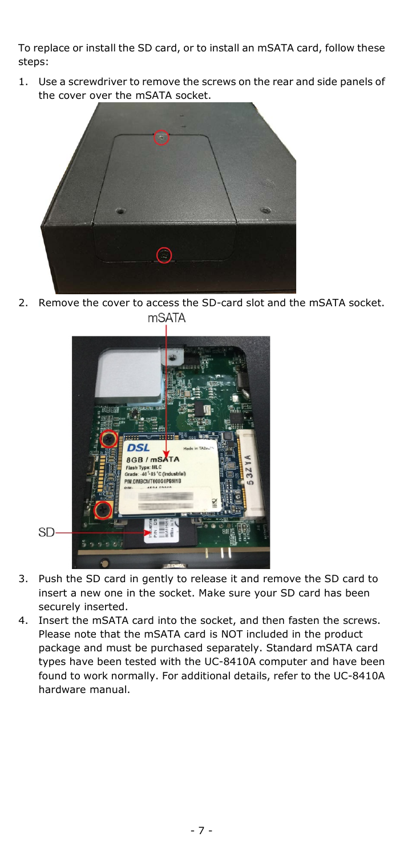To replace or install the SD card, or to install an mSATA card, follow these steps:

1. Use a screwdriver to remove the screws on the rear and side panels of the cover over the mSATA socket.



2. Remove the cover to access the SD-card slot and the mSATA socket. **mSATA** 



- 3. Push the SD card in gently to release it and remove the SD card to insert a new one in the socket. Make sure your SD card has been securely inserted.
- 4. Insert the mSATA card into the socket, and then fasten the screws. Please note that the mSATA card is NOT included in the product package and must be purchased separately. Standard mSATA card types have been tested with the UC-8410A computer and have been found to work normally. For additional details, refer to the UC-8410A hardware manual.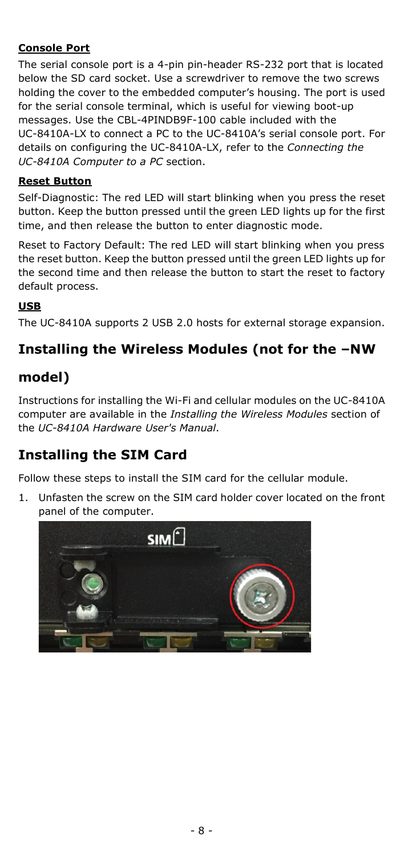#### **Console Port**

The serial console port is a 4-pin pin-header RS-232 port that is located below the SD card socket. Use a screwdriver to remove the two screws holding the cover to the embedded computer's housing. The port is used for the serial console terminal, which is useful for viewing boot-up messages. Use the CBL-4PINDB9F-100 cable included with the UC-8410A-LX to connect a PC to the UC-8410A's serial console port. For details on configuring the UC-8410A-LX, refer to the *Connecting the UC-8410A Computer to a PC* section.

#### **Reset Button**

Self-Diagnostic: The red LED will start blinking when you press the reset button. Keep the button pressed until the green LED lights up for the first time, and then release the button to enter diagnostic mode.

Reset to Factory Default: The red LED will start blinking when you press the reset button. Keep the button pressed until the green LED lights up for the second time and then release the button to start the reset to factory default process.

#### **USB**

The UC-8410A supports 2 USB 2.0 hosts for external storage expansion.

# **Installing the Wireless Modules (not for the –NW**

## **model)**

Instructions for installing the Wi-Fi and cellular modules on the UC-8410A computer are available in the *Installing the Wireless Modules* section of the *UC-8410A Hardware User's Manual*.

# **Installing the SIM Card**

Follow these steps to install the SIM card for the cellular module.

1. Unfasten the screw on the SIM card holder cover located on the front panel of the computer.

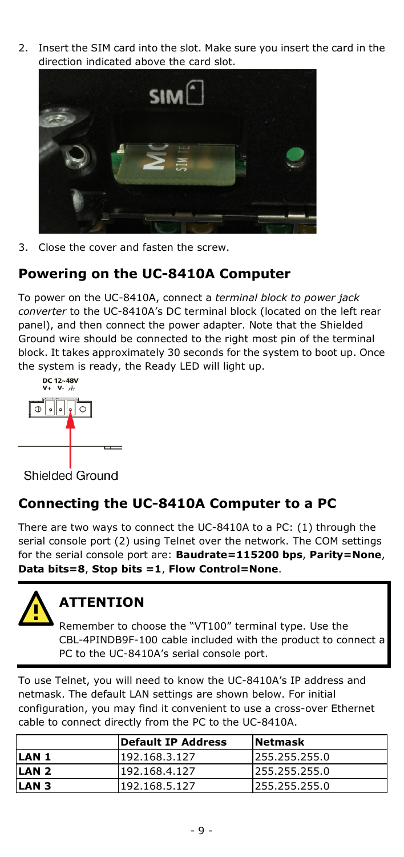2. Insert the SIM card into the slot. Make sure you insert the card in the direction indicated above the card slot.



3. Close the cover and fasten the screw.

### **Powering on the UC-8410A Computer**

To power on the UC-8410A, connect a *terminal block to power jack converter* to the UC-8410A's DC terminal block (located on the left rear panel), and then connect the power adapter. Note that the Shielded Ground wire should be connected to the right most pin of the terminal block. It takes approximately 30 seconds for the system to boot up. Once the system is ready, the Ready LED will light up.



Shielded Ground

# **Connecting the UC-8410A Computer to a PC**

There are two ways to connect the UC-8410A to a PC: (1) through the serial console port (2) using Telnet over the network. The COM settings for the serial console port are: **Baudrate=115200 bps**, **Parity=None**, **Data bits=8**, **Stop bits =1**, **Flow Control=None**.



# **ATTENTION**

Remember to choose the "VT100" terminal type. Use the CBL-4PINDB9F-100 cable included with the product to connect a PC to the UC-8410A's serial console port.

To use Telnet, you will need to know the UC-8410A's IP address and netmask. The default LAN settings are shown below. For initial configuration, you may find it convenient to use a cross-over Ethernet cable to connect directly from the PC to the UC-8410A.

|                  | <b>IDefault IP Address</b> | <b>Netmask</b> |
|------------------|----------------------------|----------------|
| LAN <sub>1</sub> | 192.168.3.127              | 1255.255.255.0 |
| LAN <sub>2</sub> | 192.168.4.127              | 1255.255.255.0 |
| LAN <sub>3</sub> | 192.168.5.127              | 1255.255.255.0 |